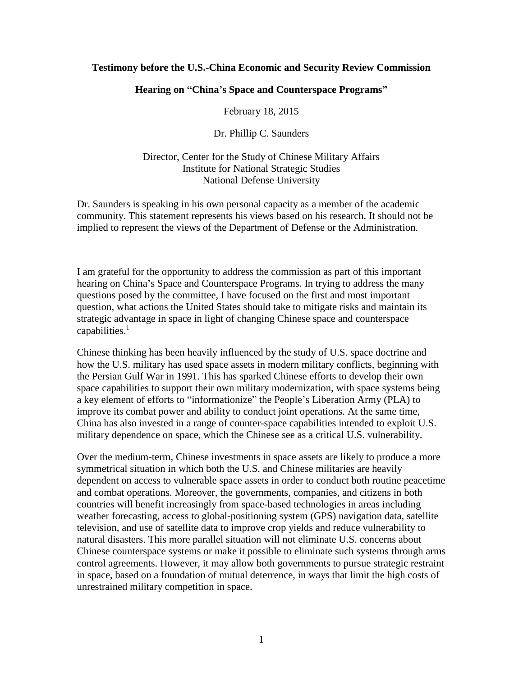### **Testimony before the U.S.-China Economic and Security Review Commission**

### **Hearing on "China's Space and Counterspace Programs"**

February 18, 2015

Dr. Phillip C. Saunders

Director, Center for the Study of Chinese Military Affairs Institute for National Strategic Studies National Defense University

Dr. Saunders is speaking in his own personal capacity as a member of the academic community. This statement represents his views based on his research. It should not be implied to represent the views of the Department of Defense or the Administration.

I am grateful for the opportunity to address the commission as part of this important hearing on China's Space and Counterspace Programs. In trying to address the many questions posed by the committee, I have focused on the first and most important question, what actions the United States should take to mitigate risks and maintain its strategic advantage in space in light of changing Chinese space and counterspace capabilities. $<sup>1</sup>$ </sup>

Chinese thinking has been heavily influenced by the study of U.S. space doctrine and how the U.S. military has used space assets in modern military conflicts, beginning with the Persian Gulf War in 1991. This has sparked Chinese efforts to develop their own space capabilities to support their own military modernization, with space systems being a key element of efforts to "informationize" the People's Liberation Army (PLA) to improve its combat power and ability to conduct joint operations. At the same time, China has also invested in a range of counter-space capabilities intended to exploit U.S. military dependence on space, which the Chinese see as a critical U.S. vulnerability.

Over the medium-term, Chinese investments in space assets are likely to produce a more symmetrical situation in which both the U.S. and Chinese militaries are heavily dependent on access to vulnerable space assets in order to conduct both routine peacetime and combat operations. Moreover, the governments, companies, and citizens in both countries will benefit increasingly from space-based technologies in areas including weather forecasting, access to global-positioning system (GPS) navigation data, satellite television, and use of satellite data to improve crop yields and reduce vulnerability to natural disasters. This more parallel situation will not eliminate U.S. concerns about Chinese counterspace systems or make it possible to eliminate such systems through arms control agreements. However, it may allow both governments to pursue strategic restraint in space, based on a foundation of mutual deterrence, in ways that limit the high costs of unrestrained military competition in space.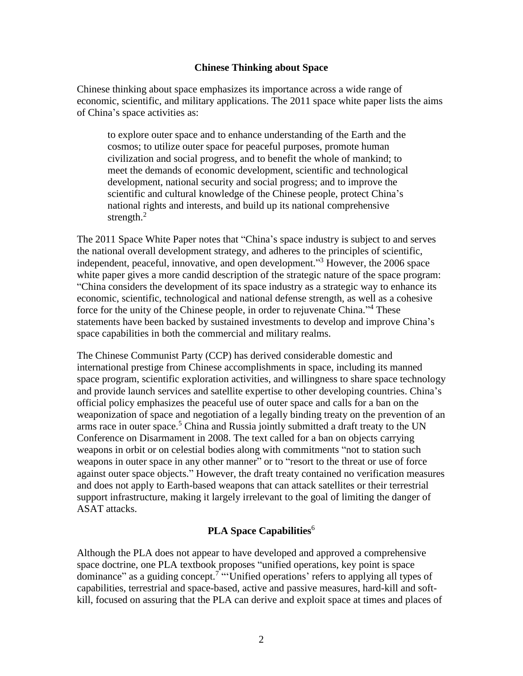### **Chinese Thinking about Space**

Chinese thinking about space emphasizes its importance across a wide range of economic, scientific, and military applications. The 2011 space white paper lists the aims of China's space activities as:

to explore outer space and to enhance understanding of the Earth and the cosmos; to utilize outer space for peaceful purposes, promote human civilization and social progress, and to benefit the whole of mankind; to meet the demands of economic development, scientific and technological development, national security and social progress; and to improve the scientific and cultural knowledge of the Chinese people, protect China's national rights and interests, and build up its national comprehensive strength. $^{2}$ 

The 2011 Space White Paper notes that "China's space industry is subject to and serves the national overall development strategy, and adheres to the principles of scientific, independent, peaceful, innovative, and open development." <sup>3</sup> However, the 2006 space white paper gives a more candid description of the strategic nature of the space program: "China considers the development of its space industry as a strategic way to enhance its economic, scientific, technological and national defense strength, as well as a cohesive force for the unity of the Chinese people, in order to rejuvenate China."<sup>4</sup> These statements have been backed by sustained investments to develop and improve China's space capabilities in both the commercial and military realms.

The Chinese Communist Party (CCP) has derived considerable domestic and international prestige from Chinese accomplishments in space, including its manned space program, scientific exploration activities, and willingness to share space technology and provide launch services and satellite expertise to other developing countries. China's official policy emphasizes the peaceful use of outer space and calls for a ban on the weaponization of space and negotiation of a legally binding treaty on the prevention of an arms race in outer space.<sup>5</sup> China and Russia jointly submitted a draft treaty to the UN Conference on Disarmament in 2008. The text called for a ban on objects carrying weapons in orbit or on celestial bodies along with commitments "not to station such weapons in outer space in any other manner" or to "resort to the threat or use of force against outer space objects." However, the draft treaty contained no verification measures and does not apply to Earth-based weapons that can attack satellites or their terrestrial support infrastructure, making it largely irrelevant to the goal of limiting the danger of ASAT attacks.

# **PLA Space Capabilities**<sup>6</sup>

Although the PLA does not appear to have developed and approved a comprehensive space doctrine, one PLA textbook proposes "unified operations, key point is space dominance" as a guiding concept.<sup>7</sup> "'Unified operations' refers to applying all types of capabilities, terrestrial and space-based, active and passive measures, hard-kill and softkill, focused on assuring that the PLA can derive and exploit space at times and places of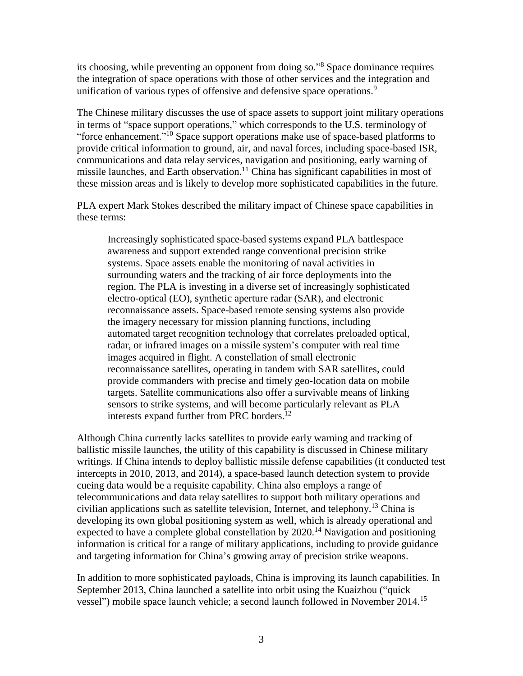its choosing, while preventing an opponent from doing so."<sup>8</sup> Space dominance requires the integration of space operations with those of other services and the integration and unification of various types of offensive and defensive space operations.<sup>9</sup>

The Chinese military discusses the use of space assets to support joint military operations in terms of "space support operations," which corresponds to the U.S. terminology of "force enhancement."<sup>10</sup> Space support operations make use of space-based platforms to provide critical information to ground, air, and naval forces, including space-based ISR, communications and data relay services, navigation and positioning, early warning of missile launches, and Earth observation.<sup>11</sup> China has significant capabilities in most of these mission areas and is likely to develop more sophisticated capabilities in the future.

PLA expert Mark Stokes described the military impact of Chinese space capabilities in these terms:

Increasingly sophisticated space-based systems expand PLA battlespace awareness and support extended range conventional precision strike systems. Space assets enable the monitoring of naval activities in surrounding waters and the tracking of air force deployments into the region. The PLA is investing in a diverse set of increasingly sophisticated electro-optical (EO), synthetic aperture radar (SAR), and electronic reconnaissance assets. Space-based remote sensing systems also provide the imagery necessary for mission planning functions, including automated target recognition technology that correlates preloaded optical, radar, or infrared images on a missile system's computer with real time images acquired in flight. A constellation of small electronic reconnaissance satellites, operating in tandem with SAR satellites, could provide commanders with precise and timely geo-location data on mobile targets. Satellite communications also offer a survivable means of linking sensors to strike systems, and will become particularly relevant as PLA interests expand further from PRC borders.<sup>12</sup>

Although China currently lacks satellites to provide early warning and tracking of ballistic missile launches, the utility of this capability is discussed in Chinese military writings. If China intends to deploy ballistic missile defense capabilities (it conducted test intercepts in 2010, 2013, and 2014), a space-based launch detection system to provide cueing data would be a requisite capability. China also employs a range of telecommunications and data relay satellites to support both military operations and civilian applications such as satellite television, Internet, and telephony.<sup>13</sup> China is developing its own global positioning system as well, which is already operational and expected to have a complete global constellation by  $2020$ .<sup>14</sup> Navigation and positioning information is critical for a range of military applications, including to provide guidance and targeting information for China's growing array of precision strike weapons.

In addition to more sophisticated payloads, China is improving its launch capabilities. In September 2013, China launched a satellite into orbit using the Kuaizhou ("quick vessel") mobile space launch vehicle; a second launch followed in November 2014.<sup>15</sup>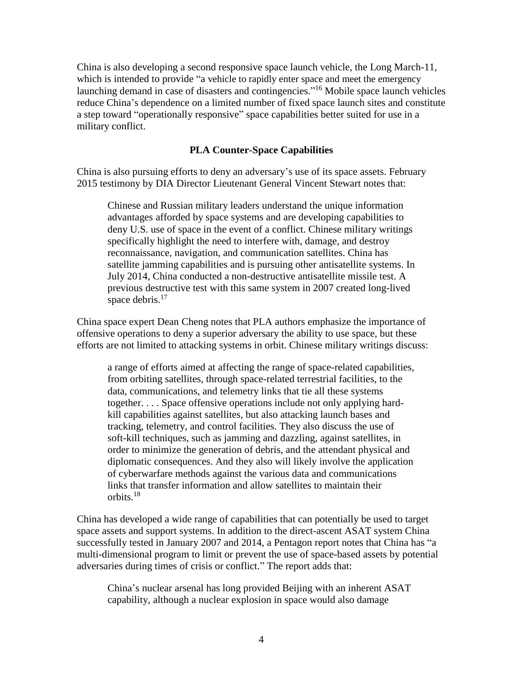China is also developing a second responsive space launch vehicle, the Long March-11, which is intended to provide "a vehicle to rapidly enter space and meet the emergency launching demand in case of disasters and contingencies." <sup>16</sup> Mobile space launch vehicles reduce China's dependence on a limited number of fixed space launch sites and constitute a step toward "operationally responsive" space capabilities better suited for use in a military conflict.

## **PLA Counter-Space Capabilities**

China is also pursuing efforts to deny an adversary's use of its space assets. February 2015 testimony by DIA Director Lieutenant General Vincent Stewart notes that:

Chinese and Russian military leaders understand the unique information advantages afforded by space systems and are developing capabilities to deny U.S. use of space in the event of a conflict. Chinese military writings specifically highlight the need to interfere with, damage, and destroy reconnaissance, navigation, and communication satellites. China has satellite jamming capabilities and is pursuing other antisatellite systems. In July 2014, China conducted a non-destructive antisatellite missile test. A previous destructive test with this same system in 2007 created long-lived space debris.<sup>17</sup>

China space expert Dean Cheng notes that PLA authors emphasize the importance of offensive operations to deny a superior adversary the ability to use space, but these efforts are not limited to attacking systems in orbit. Chinese military writings discuss:

a range of efforts aimed at affecting the range of space-related capabilities, from orbiting satellites, through space-related terrestrial facilities, to the data, communications, and telemetry links that tie all these systems together. . . . Space offensive operations include not only applying hardkill capabilities against satellites, but also attacking launch bases and tracking, telemetry, and control facilities. They also discuss the use of soft-kill techniques, such as jamming and dazzling, against satellites, in order to minimize the generation of debris, and the attendant physical and diplomatic consequences. And they also will likely involve the application of cyberwarfare methods against the various data and communications links that transfer information and allow satellites to maintain their orbits.<sup>18</sup>

China has developed a wide range of capabilities that can potentially be used to target space assets and support systems. In addition to the direct-ascent ASAT system China successfully tested in January 2007 and 2014, a Pentagon report notes that China has "a multi-dimensional program to limit or prevent the use of space-based assets by potential adversaries during times of crisis or conflict." The report adds that:

China's nuclear arsenal has long provided Beijing with an inherent ASAT capability, although a nuclear explosion in space would also damage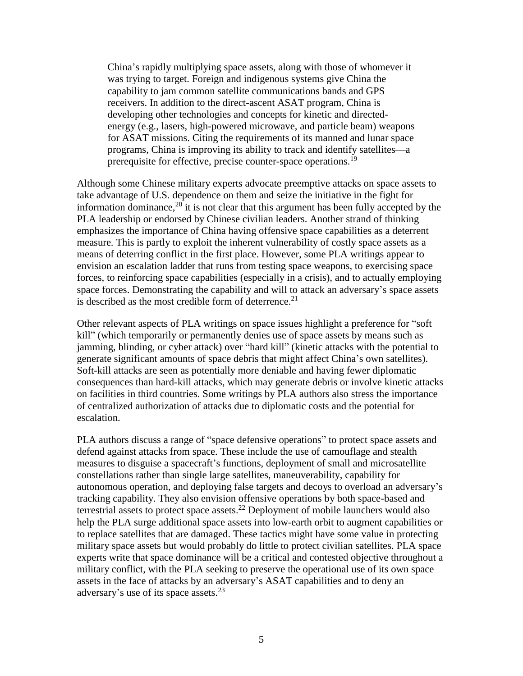China's rapidly multiplying space assets, along with those of whomever it was trying to target. Foreign and indigenous systems give China the capability to jam common satellite communications bands and GPS receivers. In addition to the direct-ascent ASAT program, China is developing other technologies and concepts for kinetic and directedenergy (e.g., lasers, high-powered microwave, and particle beam) weapons for ASAT missions. Citing the requirements of its manned and lunar space programs, China is improving its ability to track and identify satellites—a prerequisite for effective, precise counter-space operations.<sup>19</sup>

Although some Chinese military experts advocate preemptive attacks on space assets to take advantage of U.S. dependence on them and seize the initiative in the fight for information dominance, $20$  it is not clear that this argument has been fully accepted by the PLA leadership or endorsed by Chinese civilian leaders. Another strand of thinking emphasizes the importance of China having offensive space capabilities as a deterrent measure. This is partly to exploit the inherent vulnerability of costly space assets as a means of deterring conflict in the first place. However, some PLA writings appear to envision an escalation ladder that runs from testing space weapons, to exercising space forces, to reinforcing space capabilities (especially in a crisis), and to actually employing space forces. Demonstrating the capability and will to attack an adversary's space assets is described as the most credible form of deterrence.<sup>21</sup>

Other relevant aspects of PLA writings on space issues highlight a preference for "soft kill" (which temporarily or permanently denies use of space assets by means such as jamming, blinding, or cyber attack) over "hard kill" (kinetic attacks with the potential to generate significant amounts of space debris that might affect China's own satellites). Soft-kill attacks are seen as potentially more deniable and having fewer diplomatic consequences than hard-kill attacks, which may generate debris or involve kinetic attacks on facilities in third countries. Some writings by PLA authors also stress the importance of centralized authorization of attacks due to diplomatic costs and the potential for escalation.

PLA authors discuss a range of "space defensive operations" to protect space assets and defend against attacks from space. These include the use of camouflage and stealth measures to disguise a spacecraft's functions, deployment of small and microsatellite constellations rather than single large satellites, maneuverability, capability for autonomous operation, and deploying false targets and decoys to overload an adversary's tracking capability. They also envision offensive operations by both space-based and terrestrial assets to protect space assets.<sup>22</sup> Deployment of mobile launchers would also help the PLA surge additional space assets into low-earth orbit to augment capabilities or to replace satellites that are damaged. These tactics might have some value in protecting military space assets but would probably do little to protect civilian satellites. PLA space experts write that space dominance will be a critical and contested objective throughout a military conflict, with the PLA seeking to preserve the operational use of its own space assets in the face of attacks by an adversary's ASAT capabilities and to deny an adversary's use of its space assets. $^{23}$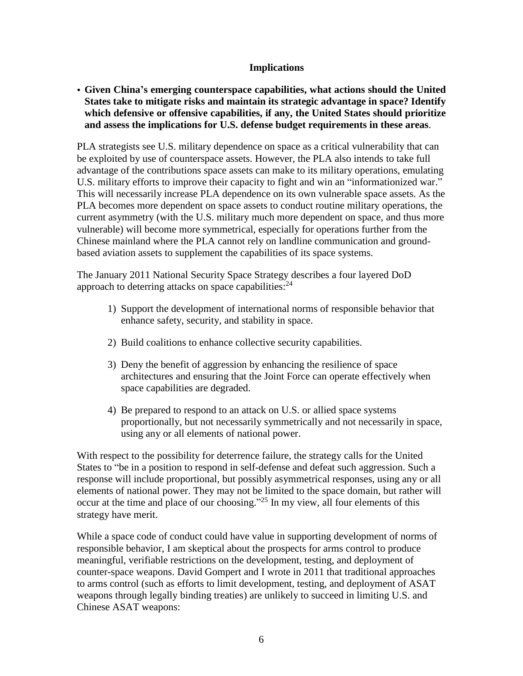## **Implications**

• **Given China's emerging counterspace capabilities, what actions should the United States take to mitigate risks and maintain its strategic advantage in space? Identify which defensive or offensive capabilities, if any, the United States should prioritize and assess the implications for U.S. defense budget requirements in these areas**.

PLA strategists see U.S. military dependence on space as a critical vulnerability that can be exploited by use of counterspace assets. However, the PLA also intends to take full advantage of the contributions space assets can make to its military operations, emulating U.S. military efforts to improve their capacity to fight and win an "informationized war." This will necessarily increase PLA dependence on its own vulnerable space assets. As the PLA becomes more dependent on space assets to conduct routine military operations, the current asymmetry (with the U.S. military much more dependent on space, and thus more vulnerable) will become more symmetrical, especially for operations further from the Chinese mainland where the PLA cannot rely on landline communication and groundbased aviation assets to supplement the capabilities of its space systems.

The January 2011 National Security Space Strategy describes a four layered DoD approach to deterring attacks on space capabilities:<sup>24</sup>

- 1) Support the development of international norms of responsible behavior that enhance safety, security, and stability in space.
- 2) Build coalitions to enhance collective security capabilities.
- 3) Deny the benefit of aggression by enhancing the resilience of space architectures and ensuring that the Joint Force can operate effectively when space capabilities are degraded.
- 4) Be prepared to respond to an attack on U.S. or allied space systems proportionally, but not necessarily symmetrically and not necessarily in space, using any or all elements of national power.

With respect to the possibility for deterrence failure, the strategy calls for the United States to "be in a position to respond in self-defense and defeat such aggression. Such a response will include proportional, but possibly asymmetrical responses, using any or all elements of national power. They may not be limited to the space domain, but rather will occur at the time and place of our choosing."<sup>25</sup> In my view, all four elements of this strategy have merit.

While a space code of conduct could have value in supporting development of norms of responsible behavior, I am skeptical about the prospects for arms control to produce meaningful, verifiable restrictions on the development, testing, and deployment of counter-space weapons. David Gompert and I wrote in 2011 that traditional approaches to arms control (such as efforts to limit development, testing, and deployment of ASAT weapons through legally binding treaties) are unlikely to succeed in limiting U.S. and Chinese ASAT weapons: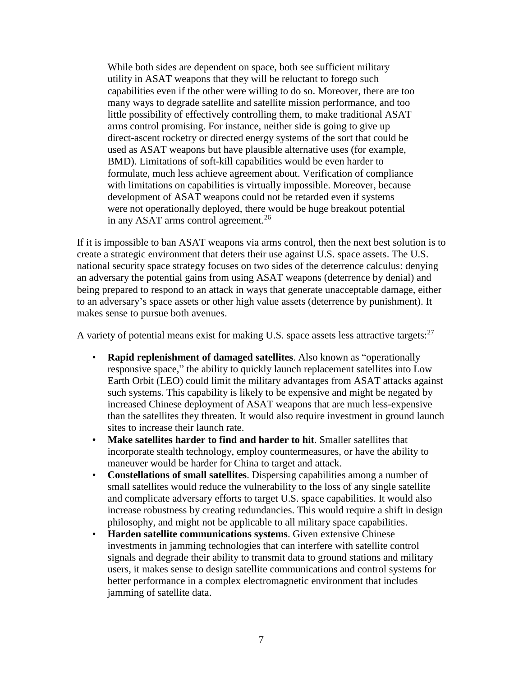While both sides are dependent on space, both see sufficient military utility in ASAT weapons that they will be reluctant to forego such capabilities even if the other were willing to do so. Moreover, there are too many ways to degrade satellite and satellite mission performance, and too little possibility of effectively controlling them, to make traditional ASAT arms control promising. For instance, neither side is going to give up direct-ascent rocketry or directed energy systems of the sort that could be used as ASAT weapons but have plausible alternative uses (for example, BMD). Limitations of soft-kill capabilities would be even harder to formulate, much less achieve agreement about. Verification of compliance with limitations on capabilities is virtually impossible. Moreover, because development of ASAT weapons could not be retarded even if systems were not operationally deployed, there would be huge breakout potential in any ASAT arms control agreement.<sup>26</sup>

If it is impossible to ban ASAT weapons via arms control, then the next best solution is to create a strategic environment that deters their use against U.S. space assets. The U.S. national security space strategy focuses on two sides of the deterrence calculus: denying an adversary the potential gains from using ASAT weapons (deterrence by denial) and being prepared to respond to an attack in ways that generate unacceptable damage, either to an adversary's space assets or other high value assets (deterrence by punishment). It makes sense to pursue both avenues.

A variety of potential means exist for making U.S. space assets less attractive targets:  $27$ 

- **Rapid replenishment of damaged satellites**. Also known as "operationally responsive space," the ability to quickly launch replacement satellites into Low Earth Orbit (LEO) could limit the military advantages from ASAT attacks against such systems. This capability is likely to be expensive and might be negated by increased Chinese deployment of ASAT weapons that are much less-expensive than the satellites they threaten. It would also require investment in ground launch sites to increase their launch rate.
- **Make satellites harder to find and harder to hit**. Smaller satellites that incorporate stealth technology, employ countermeasures, or have the ability to maneuver would be harder for China to target and attack.
- **Constellations of small satellites**. Dispersing capabilities among a number of small satellites would reduce the vulnerability to the loss of any single satellite and complicate adversary efforts to target U.S. space capabilities. It would also increase robustness by creating redundancies. This would require a shift in design philosophy, and might not be applicable to all military space capabilities.
- **Harden satellite communications systems**. Given extensive Chinese investments in jamming technologies that can interfere with satellite control signals and degrade their ability to transmit data to ground stations and military users, it makes sense to design satellite communications and control systems for better performance in a complex electromagnetic environment that includes jamming of satellite data.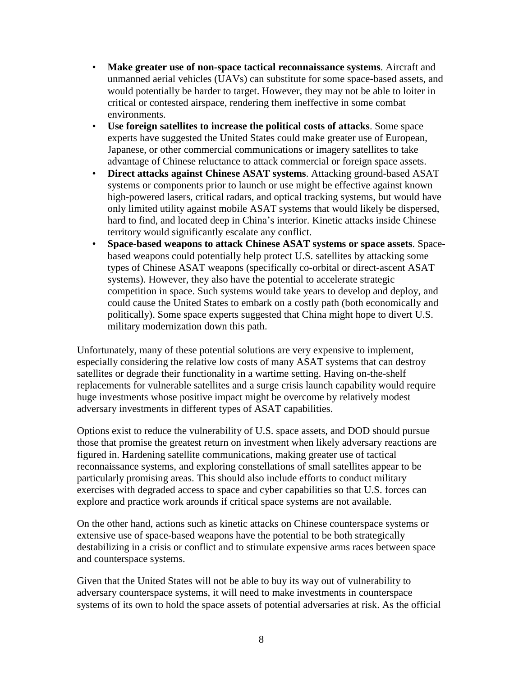- **Make greater use of non-space tactical reconnaissance systems**. Aircraft and unmanned aerial vehicles (UAVs) can substitute for some space-based assets, and would potentially be harder to target. However, they may not be able to loiter in critical or contested airspace, rendering them ineffective in some combat environments.
- **Use foreign satellites to increase the political costs of attacks**. Some space experts have suggested the United States could make greater use of European, Japanese, or other commercial communications or imagery satellites to take advantage of Chinese reluctance to attack commercial or foreign space assets.
- **Direct attacks against Chinese ASAT systems**. Attacking ground-based ASAT systems or components prior to launch or use might be effective against known high-powered lasers, critical radars, and optical tracking systems, but would have only limited utility against mobile ASAT systems that would likely be dispersed, hard to find, and located deep in China's interior. Kinetic attacks inside Chinese territory would significantly escalate any conflict.
- **Space-based weapons to attack Chinese ASAT systems or space assets**. Spacebased weapons could potentially help protect U.S. satellites by attacking some types of Chinese ASAT weapons (specifically co-orbital or direct-ascent ASAT systems). However, they also have the potential to accelerate strategic competition in space. Such systems would take years to develop and deploy, and could cause the United States to embark on a costly path (both economically and politically). Some space experts suggested that China might hope to divert U.S. military modernization down this path.

Unfortunately, many of these potential solutions are very expensive to implement, especially considering the relative low costs of many ASAT systems that can destroy satellites or degrade their functionality in a wartime setting. Having on-the-shelf replacements for vulnerable satellites and a surge crisis launch capability would require huge investments whose positive impact might be overcome by relatively modest adversary investments in different types of ASAT capabilities.

Options exist to reduce the vulnerability of U.S. space assets, and DOD should pursue those that promise the greatest return on investment when likely adversary reactions are figured in. Hardening satellite communications, making greater use of tactical reconnaissance systems, and exploring constellations of small satellites appear to be particularly promising areas. This should also include efforts to conduct military exercises with degraded access to space and cyber capabilities so that U.S. forces can explore and practice work arounds if critical space systems are not available.

On the other hand, actions such as kinetic attacks on Chinese counterspace systems or extensive use of space-based weapons have the potential to be both strategically destabilizing in a crisis or conflict and to stimulate expensive arms races between space and counterspace systems.

Given that the United States will not be able to buy its way out of vulnerability to adversary counterspace systems, it will need to make investments in counterspace systems of its own to hold the space assets of potential adversaries at risk. As the official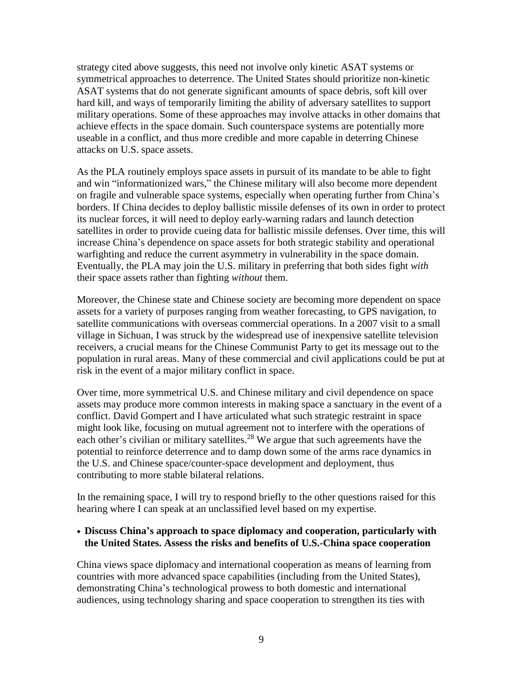strategy cited above suggests, this need not involve only kinetic ASAT systems or symmetrical approaches to deterrence. The United States should prioritize non-kinetic ASAT systems that do not generate significant amounts of space debris, soft kill over hard kill, and ways of temporarily limiting the ability of adversary satellites to support military operations. Some of these approaches may involve attacks in other domains that achieve effects in the space domain. Such counterspace systems are potentially more useable in a conflict, and thus more credible and more capable in deterring Chinese attacks on U.S. space assets.

As the PLA routinely employs space assets in pursuit of its mandate to be able to fight and win "informationized wars," the Chinese military will also become more dependent on fragile and vulnerable space systems, especially when operating further from China's borders. If China decides to deploy ballistic missile defenses of its own in order to protect its nuclear forces, it will need to deploy early-warning radars and launch detection satellites in order to provide cueing data for ballistic missile defenses. Over time, this will increase China's dependence on space assets for both strategic stability and operational warfighting and reduce the current asymmetry in vulnerability in the space domain. Eventually, the PLA may join the U.S. military in preferring that both sides fight *with* their space assets rather than fighting *without* them.

Moreover, the Chinese state and Chinese society are becoming more dependent on space assets for a variety of purposes ranging from weather forecasting, to GPS navigation, to satellite communications with overseas commercial operations. In a 2007 visit to a small village in Sichuan, I was struck by the widespread use of inexpensive satellite television receivers, a crucial means for the Chinese Communist Party to get its message out to the population in rural areas. Many of these commercial and civil applications could be put at risk in the event of a major military conflict in space.

Over time, more symmetrical U.S. and Chinese military and civil dependence on space assets may produce more common interests in making space a sanctuary in the event of a conflict. David Gompert and I have articulated what such strategic restraint in space might look like, focusing on mutual agreement not to interfere with the operations of each other's civilian or military satellites.<sup>28</sup> We argue that such agreements have the potential to reinforce deterrence and to damp down some of the arms race dynamics in the U.S. and Chinese space/counter-space development and deployment, thus contributing to more stable bilateral relations.

In the remaining space, I will try to respond briefly to the other questions raised for this hearing where I can speak at an unclassified level based on my expertise.

### **• Discuss China's approach to space diplomacy and cooperation, particularly with the United States. Assess the risks and benefits of U.S.-China space cooperation**

China views space diplomacy and international cooperation as means of learning from countries with more advanced space capabilities (including from the United States), demonstrating China's technological prowess to both domestic and international audiences, using technology sharing and space cooperation to strengthen its ties with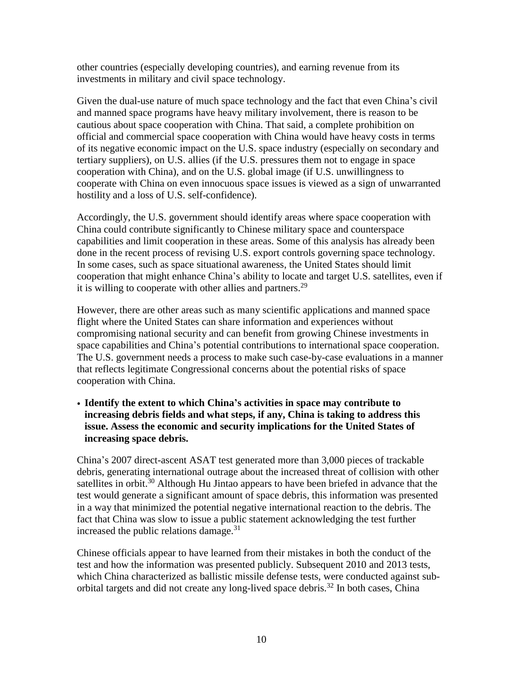other countries (especially developing countries), and earning revenue from its investments in military and civil space technology.

Given the dual-use nature of much space technology and the fact that even China's civil and manned space programs have heavy military involvement, there is reason to be cautious about space cooperation with China. That said, a complete prohibition on official and commercial space cooperation with China would have heavy costs in terms of its negative economic impact on the U.S. space industry (especially on secondary and tertiary suppliers), on U.S. allies (if the U.S. pressures them not to engage in space cooperation with China), and on the U.S. global image (if U.S. unwillingness to cooperate with China on even innocuous space issues is viewed as a sign of unwarranted hostility and a loss of U.S. self-confidence).

Accordingly, the U.S. government should identify areas where space cooperation with China could contribute significantly to Chinese military space and counterspace capabilities and limit cooperation in these areas. Some of this analysis has already been done in the recent process of revising U.S. export controls governing space technology. In some cases, such as space situational awareness, the United States should limit cooperation that might enhance China's ability to locate and target U.S. satellites, even if it is willing to cooperate with other allies and partners.<sup>29</sup>

However, there are other areas such as many scientific applications and manned space flight where the United States can share information and experiences without compromising national security and can benefit from growing Chinese investments in space capabilities and China's potential contributions to international space cooperation. The U.S. government needs a process to make such case-by-case evaluations in a manner that reflects legitimate Congressional concerns about the potential risks of space cooperation with China.

• **Identify the extent to which China's activities in space may contribute to increasing debris fields and what steps, if any, China is taking to address this issue. Assess the economic and security implications for the United States of increasing space debris.**

China's 2007 direct-ascent ASAT test generated more than 3,000 pieces of trackable debris, generating international outrage about the increased threat of collision with other satellites in orbit.<sup>30</sup> Although Hu Jintao appears to have been briefed in advance that the test would generate a significant amount of space debris, this information was presented in a way that minimized the potential negative international reaction to the debris. The fact that China was slow to issue a public statement acknowledging the test further increased the public relations damage. $31$ 

Chinese officials appear to have learned from their mistakes in both the conduct of the test and how the information was presented publicly. Subsequent 2010 and 2013 tests, which China characterized as ballistic missile defense tests, were conducted against suborbital targets and did not create any long-lived space debris.<sup>32</sup> In both cases, China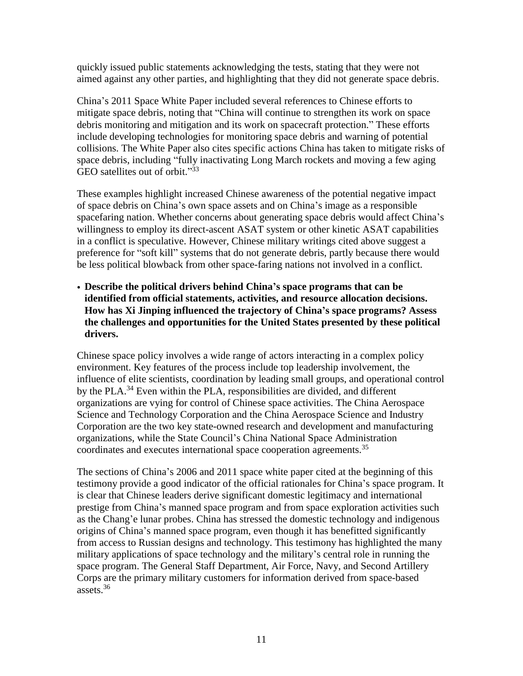quickly issued public statements acknowledging the tests, stating that they were not aimed against any other parties, and highlighting that they did not generate space debris.

China's 2011 Space White Paper included several references to Chinese efforts to mitigate space debris, noting that "China will continue to strengthen its work on space debris monitoring and mitigation and its work on spacecraft protection." These efforts include developing technologies for monitoring space debris and warning of potential collisions. The White Paper also cites specific actions China has taken to mitigate risks of space debris, including "fully inactivating Long March rockets and moving a few aging GEO satellites out of orbit."33

These examples highlight increased Chinese awareness of the potential negative impact of space debris on China's own space assets and on China's image as a responsible spacefaring nation. Whether concerns about generating space debris would affect China's willingness to employ its direct-ascent ASAT system or other kinetic ASAT capabilities in a conflict is speculative. However, Chinese military writings cited above suggest a preference for "soft kill" systems that do not generate debris, partly because there would be less political blowback from other space-faring nations not involved in a conflict.

• **Describe the political drivers behind China's space programs that can be identified from official statements, activities, and resource allocation decisions. How has Xi Jinping influenced the trajectory of China's space programs? Assess the challenges and opportunities for the United States presented by these political drivers.**

Chinese space policy involves a wide range of actors interacting in a complex policy environment. Key features of the process include top leadership involvement, the influence of elite scientists, coordination by leading small groups, and operational control by the PLA.<sup>34</sup> Even within the PLA, responsibilities are divided, and different organizations are vying for control of Chinese space activities. The China Aerospace Science and Technology Corporation and the China Aerospace Science and Industry Corporation are the two key state-owned research and development and manufacturing organizations, while the State Council's China National Space Administration coordinates and executes international space cooperation agreements.<sup>35</sup>

The sections of China's 2006 and 2011 space white paper cited at the beginning of this testimony provide a good indicator of the official rationales for China's space program. It is clear that Chinese leaders derive significant domestic legitimacy and international prestige from China's manned space program and from space exploration activities such as the Chang'e lunar probes. China has stressed the domestic technology and indigenous origins of China's manned space program, even though it has benefitted significantly from access to Russian designs and technology. This testimony has highlighted the many military applications of space technology and the military's central role in running the space program. The General Staff Department, Air Force, Navy, and Second Artillery Corps are the primary military customers for information derived from space-based assets.<sup>36</sup>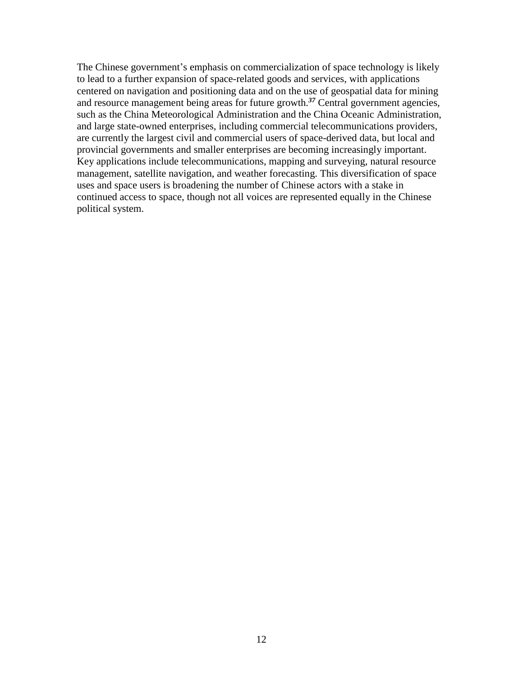The Chinese government's emphasis on commercialization of space technology is likely to lead to a further expansion of space-related goods and services, with applications centered on navigation and positioning data and on the use of geospatial data for mining and resource management being areas for future growth.*<sup>37</sup>* Central government agencies, such as the China Meteorological Administration and the China Oceanic Administration, and large state-owned enterprises, including commercial telecommunications providers, are currently the largest civil and commercial users of space-derived data, but local and provincial governments and smaller enterprises are becoming increasingly important. Key applications include telecommunications, mapping and surveying, natural resource management, satellite navigation, and weather forecasting. This diversification of space uses and space users is broadening the number of Chinese actors with a stake in continued access to space, though not all voices are represented equally in the Chinese political system.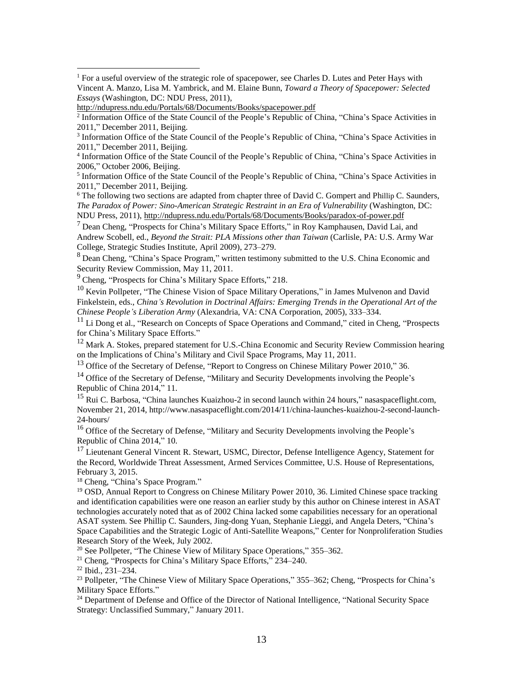$\overline{a}$ 

<sup>5</sup> Information Office of the State Council of the People's Republic of China, "China's Space Activities in 2011," December 2011, Beijing.

 $6$  The following two sections are adapted from chapter three of David C. Gompert and Phillip C. Saunders, *The Paradox of Power: Sino-American Strategic Restraint in an Era of Vulnerability* (Washington, DC: NDU Press, 2011), <http://ndupress.ndu.edu/Portals/68/Documents/Books/paradox-of-power.pdf>

 $<sup>7</sup>$  Dean Cheng, "Prospects for China's Military Space Efforts," in Roy Kamphausen, David Lai, and</sup> Andrew Scobell, ed., *Beyond the Strait: PLA Missions other than Taiwan* (Carlisle, PA: U.S. Army War College, Strategic Studies Institute, April 2009), 273–279.

<sup>8</sup> Dean Cheng, "China's Space Program," written testimony submitted to the U.S. China Economic and Security Review Commission, May 11, 2011.

<sup>9</sup> Cheng, "Prospects for China's Military Space Efforts," 218.

 $10$  Kevin Pollpeter, "The Chinese Vision of Space Military Operations," in James Mulvenon and David Finkelstein, eds., *China's Revolution in Doctrinal Affairs: Emerging Trends in the Operational Art of the Chinese People's Liberation Army* (Alexandria, VA: CNA Corporation, 2005), 333–334.

 $11$  Li Dong et al., "Research on Concepts of Space Operations and Command," cited in Cheng, "Prospects for China's Military Space Efforts."

 $12$  Mark A. Stokes, prepared statement for U.S.-China Economic and Security Review Commission hearing on the Implications of China's Military and Civil Space Programs, May 11, 2011.

<sup>13</sup> Office of the Secretary of Defense, "Report to Congress on Chinese Military Power 2010," 36.

<sup>14</sup> Office of the Secretary of Defense, "Military and Security Developments involving the People's Republic of China 2014," 11.

<sup>15</sup> Rui C. Barbosa, "China launches Kuaizhou-2 in second launch within 24 hours," nasaspaceflight.com, November 21, 2014, http://www.nasaspaceflight.com/2014/11/china-launches-kuaizhou-2-second-launch-24-hours/

<sup>16</sup> Office of the Secretary of Defense, "Military and Security Developments involving the People's Republic of China 2014," 10.

<sup>17</sup> Lieutenant General Vincent R. Stewart, USMC, Director, Defense Intelligence Agency, Statement for the Record, Worldwide Threat Assessment, Armed Services Committee, U.S. House of Representations, February 3, 2015.

<sup>18</sup> Cheng, "China's Space Program."

<sup>19</sup> OSD, Annual Report to Congress on Chinese Military Power 2010, 36. Limited Chinese space tracking and identification capabilities were one reason an earlier study by this author on Chinese interest in ASAT technologies accurately noted that as of 2002 China lacked some capabilities necessary for an operational ASAT system. See Phillip C. Saunders, Jing-dong Yuan, Stephanie Lieggi, and Angela Deters, "China's Space Capabilities and the Strategic Logic of Anti-Satellite Weapons," Center for Nonproliferation Studies Research Story of the Week, July 2002.

<sup>20</sup> See Pollpeter, "The Chinese View of Military Space Operations," 355–362.

<sup>21</sup> Cheng, "Prospects for China's Military Space Efforts,"  $234-240$ .

<sup>22</sup> Ibid., 231–234.

<sup>23</sup> Pollpeter, "The Chinese View of Military Space Operations," 355–362; Cheng, "Prospects for China's Military Space Efforts."

<sup>24</sup> Department of Defense and Office of the Director of National Intelligence, "National Security Space Strategy: Unclassified Summary," January 2011.

<sup>&</sup>lt;sup>1</sup> For a useful overview of the strategic role of spacepower, see Charles D. Lutes and Peter Hays with Vincent A. Manzo, Lisa M. Yambrick, and M. Elaine Bunn, *Toward a Theory of Spacepower: Selected Essays* (Washington, DC: NDU Press, 2011),

<http://ndupress.ndu.edu/Portals/68/Documents/Books/spacepower.pdf>

<sup>&</sup>lt;sup>2</sup> Information Office of the State Council of the People's Republic of China, "China's Space Activities in 2011," December 2011, Beijing.

<sup>&</sup>lt;sup>3</sup> Information Office of the State Council of the People's Republic of China, "China's Space Activities in 2011," December 2011, Beijing.

<sup>4</sup> Information Office of the State Council of the People's Republic of China, "China's Space Activities in 2006," October 2006, Beijing.